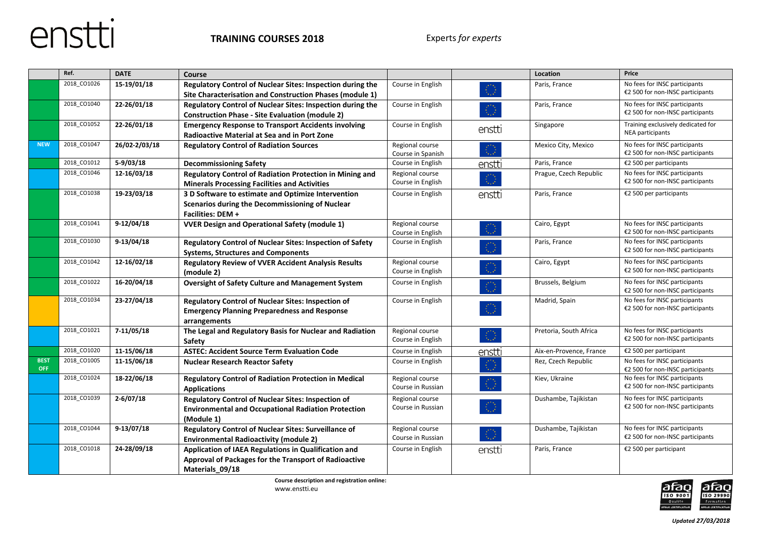

|                           | Ref.        | <b>DATE</b>   | Course                                                       |                   |        | Location                | Price                                                             |
|---------------------------|-------------|---------------|--------------------------------------------------------------|-------------------|--------|-------------------------|-------------------------------------------------------------------|
|                           | 2018 CO1026 | 15-19/01/18   | Regulatory Control of Nuclear Sites: Inspection during the   | Course in English |        | Paris, France           | No fees for INSC participants                                     |
|                           |             |               | Site Characterisation and Construction Phases (module 1)     |                   |        |                         | €2 500 for non-INSC participants                                  |
|                           | 2018 CO1040 | 22-26/01/18   | Regulatory Control of Nuclear Sites: Inspection during the   | Course in English |        | Paris, France           | No fees for INSC participants                                     |
|                           |             |               | <b>Construction Phase - Site Evaluation (module 2)</b>       |                   |        |                         | €2 500 for non-INSC participants                                  |
|                           | 2018 CO1052 | 22-26/01/18   | <b>Emergency Response to Transport Accidents involving</b>   | Course in English | enstti | Singapore               | Training exclusively dedicated for                                |
|                           |             |               | <b>Radioactive Material at Sea and in Port Zone</b>          |                   |        |                         | NEA participants                                                  |
| <b>NEW</b>                | 2018 CO1047 | 26/02-2/03/18 | <b>Regulatory Control of Radiation Sources</b>               | Regional course   |        | Mexico City, Mexico     | No fees for INSC participants                                     |
|                           | 2018 CO1012 |               |                                                              | Course in Spanish |        |                         | €2 500 for non-INSC participants                                  |
|                           |             | $5-9/03/18$   | <b>Decommissioning Safety</b>                                | Course in English | enstti | Paris, France           | €2 500 per participants                                           |
|                           | 2018 CO1046 | 12-16/03/18   | Regulatory Control of Radiation Protection in Mining and     | Regional course   |        | Prague, Czech Republic  | No fees for INSC participants<br>€2 500 for non-INSC participants |
|                           |             |               | <b>Minerals Processing Facilities and Activities</b>         | Course in English |        |                         |                                                                   |
|                           | 2018_CO1038 | 19-23/03/18   | 3 D Software to estimate and Optimize Intervention           | Course in English | enstti | Paris, France           | €2 500 per participants                                           |
|                           |             |               | Scenarios during the Decommissioning of Nuclear              |                   |        |                         |                                                                   |
|                           |             |               | Facilities: DEM +                                            |                   |        |                         |                                                                   |
|                           | 2018_CO1041 | $9-12/04/18$  | <b>VVER Design and Operational Safety (module 1)</b>         | Regional course   |        | Cairo, Egypt            | No fees for INSC participants                                     |
|                           |             |               |                                                              | Course in English |        |                         | €2 500 for non-INSC participants                                  |
|                           | 2018_CO1030 | $9-13/04/18$  | Regulatory Control of Nuclear Sites: Inspection of Safety    | Course in English |        | Paris, France           | No fees for INSC participants                                     |
|                           |             |               | <b>Systems, Structures and Components</b>                    |                   |        |                         | €2 500 for non-INSC participants                                  |
|                           | 2018_CO1042 | 12-16/02/18   | <b>Regulatory Review of VVER Accident Analysis Results</b>   | Regional course   |        | Cairo, Egypt            | No fees for INSC participants                                     |
|                           |             |               | (module 2)                                                   | Course in English |        |                         | €2 500 for non-INSC participants                                  |
|                           | 2018 CO1022 | 16-20/04/18   | <b>Oversight of Safety Culture and Management System</b>     | Course in English | ⊙      | Brussels, Belgium       | No fees for INSC participants<br>€2 500 for non-INSC participants |
|                           | 2018 CO1034 | 23-27/04/18   | Regulatory Control of Nuclear Sites: Inspection of           | Course in English |        | Madrid, Spain           | No fees for INSC participants                                     |
|                           |             |               | <b>Emergency Planning Preparedness and Response</b>          |                   | O      |                         | €2 500 for non-INSC participants                                  |
|                           |             |               | arrangements                                                 |                   |        |                         |                                                                   |
|                           | 2018 CO1021 | 7-11/05/18    | The Legal and Regulatory Basis for Nuclear and Radiation     | Regional course   |        | Pretoria, South Africa  | No fees for INSC participants                                     |
|                           |             |               | Safety                                                       | Course in English |        |                         | €2 500 for non-INSC participants                                  |
|                           | 2018 CO1020 | 11-15/06/18   | <b>ASTEC: Accident Source Term Evaluation Code</b>           | Course in English | enstti | Aix-en-Provence, France | €2 500 per participant                                            |
| <b>BEST</b><br><b>OFF</b> | 2018_CO1005 | 11-15/06/18   | <b>Nuclear Research Reactor Safety</b>                       | Course in English |        | Rez, Czech Republic     | No fees for INSC participants<br>€2 500 for non-INSC participants |
|                           | 2018 CO1024 | 18-22/06/18   | <b>Regulatory Control of Radiation Protection in Medical</b> | Regional course   |        | Kiev, Ukraine           | No fees for INSC participants                                     |
|                           |             |               | <b>Applications</b>                                          | Course in Russian |        |                         | €2 500 for non-INSC participants                                  |
|                           | 2018_CO1039 | $2-6/07/18$   | Regulatory Control of Nuclear Sites: Inspection of           | Regional course   |        | Dushambe, Tajikistan    | No fees for INSC participants                                     |
|                           |             |               | <b>Environmental and Occupational Radiation Protection</b>   | Course in Russian |        |                         | €2 500 for non-INSC participants                                  |
|                           |             |               | (Module 1)                                                   |                   |        |                         |                                                                   |
|                           | 2018_CO1044 | $9-13/07/18$  | Regulatory Control of Nuclear Sites: Surveillance of         | Regional course   |        | Dushambe, Tajikistan    | No fees for INSC participants                                     |
|                           |             |               | <b>Environmental Radioactivity (module 2)</b>                | Course in Russian |        |                         | €2 500 for non-INSC participants                                  |
|                           | 2018_CO1018 | 24-28/09/18   | Application of IAEA Regulations in Qualification and         | Course in English | enstti | Paris, France           | €2 500 per participant                                            |
|                           |             |               | Approval of Packages for the Transport of Radioactive        |                   |        |                         |                                                                   |
|                           |             |               | Materials_09/18                                              |                   |        |                         |                                                                   |

**Course description and registration online:** www.enstti.eu